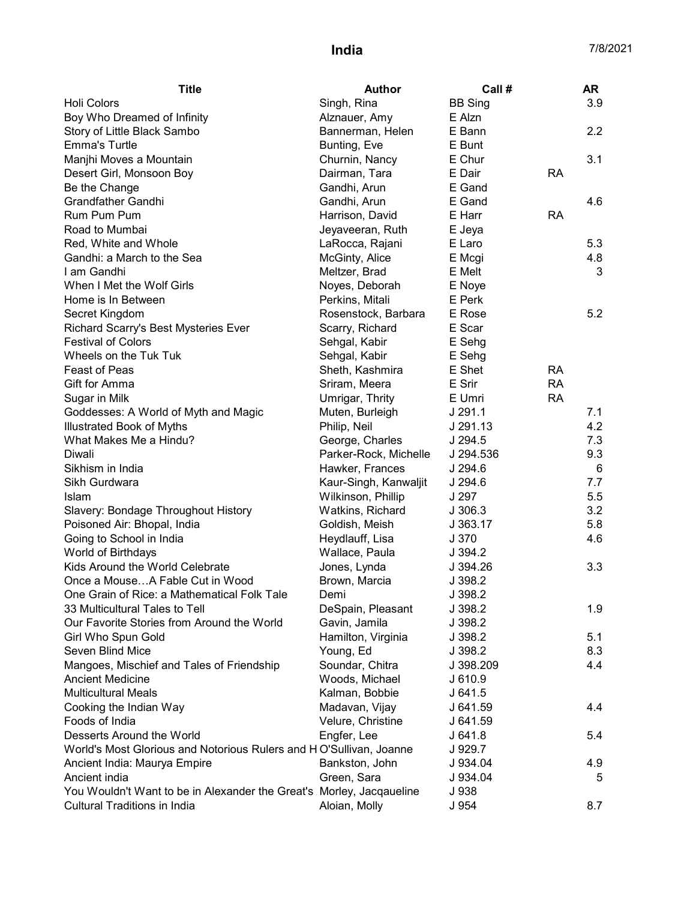| <b>Title</b>                                                         | <b>Author</b>         | Call #         |           | AR  |
|----------------------------------------------------------------------|-----------------------|----------------|-----------|-----|
| <b>Holi Colors</b>                                                   | Singh, Rina           | <b>BB Sing</b> |           | 3.9 |
| Boy Who Dreamed of Infinity                                          | Alznauer, Amy         | E Alzn         |           |     |
| Story of Little Black Sambo                                          | Bannerman, Helen      | E Bann         |           | 2.2 |
| <b>Emma's Turtle</b>                                                 | Bunting, Eve          | E Bunt         |           |     |
| Manjhi Moves a Mountain                                              | Churnin, Nancy        | E Chur         |           | 3.1 |
| Desert Girl, Monsoon Boy                                             | Dairman, Tara         | E Dair         | <b>RA</b> |     |
| Be the Change                                                        | Gandhi, Arun          | E Gand         |           |     |
| <b>Grandfather Gandhi</b>                                            | Gandhi, Arun          | E Gand         |           | 4.6 |
| Rum Pum Pum                                                          | Harrison, David       | E Harr         | <b>RA</b> |     |
| Road to Mumbai                                                       | Jeyaveeran, Ruth      | E Jeya         |           |     |
| Red, White and Whole                                                 | LaRocca, Rajani       | E Laro         |           | 5.3 |
| Gandhi: a March to the Sea                                           | McGinty, Alice        | E Mcgi         |           | 4.8 |
| I am Gandhi                                                          | Meltzer, Brad         | E Melt         |           | 3   |
| When I Met the Wolf Girls                                            | Noyes, Deborah        | E Noye         |           |     |
| Home is In Between                                                   | Perkins, Mitali       | E Perk         |           |     |
| Secret Kingdom                                                       | Rosenstock, Barbara   | E Rose         |           | 5.2 |
| Richard Scarry's Best Mysteries Ever                                 | Scarry, Richard       | E Scar         |           |     |
| <b>Festival of Colors</b>                                            | Sehgal, Kabir         | E Sehg         |           |     |
| Wheels on the Tuk Tuk                                                | Sehgal, Kabir         | E Sehg         |           |     |
| <b>Feast of Peas</b>                                                 | Sheth, Kashmira       | E Shet         | <b>RA</b> |     |
| Gift for Amma                                                        | Sriram, Meera         | E Srir         | <b>RA</b> |     |
| Sugar in Milk                                                        | Umrigar, Thrity       | E Umri         | <b>RA</b> |     |
| Goddesses: A World of Myth and Magic                                 | Muten, Burleigh       | J 291.1        |           | 7.1 |
| <b>Illustrated Book of Myths</b>                                     | Philip, Neil          | J 291.13       |           | 4.2 |
| What Makes Me a Hindu?                                               | George, Charles       | J 294.5        |           | 7.3 |
| Diwali                                                               | Parker-Rock, Michelle | J 294.536      |           | 9.3 |
| Sikhism in India                                                     | Hawker, Frances       | J 294.6        |           | 6   |
| Sikh Gurdwara                                                        | Kaur-Singh, Kanwaljit | J 294.6        |           | 7.7 |
| Islam                                                                | Wilkinson, Phillip    | J 297          |           | 5.5 |
| Slavery: Bondage Throughout History                                  | Watkins, Richard      | J 306.3        |           | 3.2 |
| Poisoned Air: Bhopal, India                                          | Goldish, Meish        | J 363.17       |           | 5.8 |
| Going to School in India                                             | Heydlauff, Lisa       | J 370          |           | 4.6 |
| World of Birthdays                                                   | Wallace, Paula        | J.394.2        |           |     |
| Kids Around the World Celebrate                                      | Jones, Lynda          | J 394.26       |           | 3.3 |
| Once a MouseA Fable Cut in Wood                                      | Brown, Marcia         | J 398.2        |           |     |
| One Grain of Rice: a Mathematical Folk Tale                          | Demi                  | J 398.2        |           |     |
| 33 Multicultural Tales to Tell                                       | DeSpain, Pleasant     | J 398.2        |           | 1.9 |
| Our Favorite Stories from Around the World                           | Gavin, Jamila         | J 398.2        |           |     |
| Girl Who Spun Gold                                                   | Hamilton, Virginia    | J 398.2        |           | 5.1 |
| Seven Blind Mice                                                     | Young, Ed             | J 398.2        |           | 8.3 |
| Mangoes, Mischief and Tales of Friendship                            | Soundar, Chitra       | J 398.209      |           | 4.4 |
| <b>Ancient Medicine</b>                                              | Woods, Michael        | J 610.9        |           |     |
| <b>Multicultural Meals</b>                                           | Kalman, Bobbie        | J641.5         |           |     |
| Cooking the Indian Way                                               | Madavan, Vijay        | J 641.59       |           | 4.4 |
| Foods of India                                                       | Velure, Christine     | J 641.59       |           |     |
| Desserts Around the World                                            | Engfer, Lee           | J641.8         |           | 5.4 |
| World's Most Glorious and Notorious Rulers and HO'Sullivan, Joanne   |                       | J 929.7        |           |     |
| Ancient India: Maurya Empire                                         | Bankston, John        | J 934.04       |           | 4.9 |
| Ancient india                                                        | Green, Sara           | J 934.04       |           | 5   |
| You Wouldn't Want to be in Alexander the Great's Morley, Jacqaueline |                       | J 938          |           |     |
| <b>Cultural Traditions in India</b>                                  | Aloian, Molly         | J 954          |           | 8.7 |
|                                                                      |                       |                |           |     |